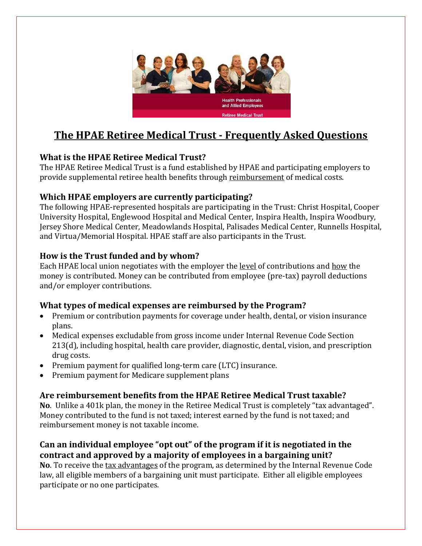

# **The HPAE Retiree Medical Trust - Frequently Asked Questions**

# **What is the HPAE Retiree Medical Trust?**

The HPAE Retiree Medical Trust is a fund established by HPAE and participating employers to provide supplemental retiree health benefits through reimbursement of medical costs.

## **Which HPAE employers are currently participating?**

The following HPAE-represented hospitals are participating in the Trust: Christ Hospital, Cooper University Hospital, Englewood Hospital and Medical Center, Inspira Health, Inspira Woodbury, Jersey Shore Medical Center, Meadowlands Hospital, Palisades Medical Center, Runnells Hospital, and Virtua/Memorial Hospital. HPAE staff are also participants in the Trust.

# **How is the Trust funded and by whom?**

Each HPAE local union negotiates with the employer the level of contributions and how the money is contributed. Money can be contributed from employee (pre-tax) payroll deductions and/or employer contributions.

## **What types of medical expenses are reimbursed by the Program?**

- Premium or contribution payments for coverage under health, dental, or vision insurance plans.
- Medical expenses excludable from gross income under Internal Revenue Code Section 213(d), including hospital, health care provider, diagnostic, dental, vision, and prescription drug costs.
- Premium payment for qualified long-term care (LTC) insurance.
- Premium payment for Medicare supplement plans

# **Are reimbursement benefits from the HPAE Retiree Medical Trust taxable?**

**No**. Unlike a 401k plan, the money in the Retiree Medical Trust is completely "tax advantaged". Money contributed to the fund is not taxed; interest earned by the fund is not taxed; and reimbursement money is not taxable income.

# **Can an individual employee "opt out" of the program if it is negotiated in the contract and approved by a majority of employees in a bargaining unit?**

**No**. To receive the tax advantages of the program, as determined by the Internal Revenue Code law, all eligible members of a bargaining unit must participate. Either all eligible employees participate or no one participates.